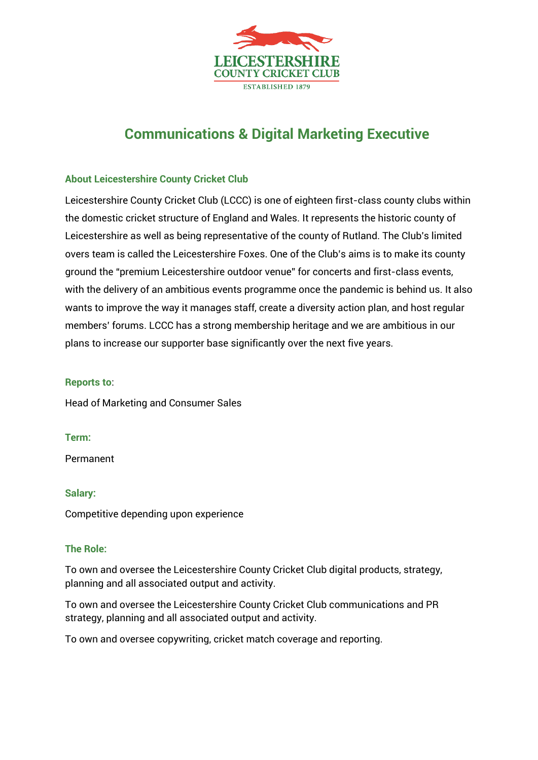

# **Communications & Digital Marketing Executive**

# **About Leicestershire County Cricket Club**

Leicestershire County Cricket Club (LCCC) is one of eighteen first-class county clubs within the domestic cricket structure of England and Wales. It represents the historic county of Leicestershire as well as being representative of the county of Rutland. The Club's limited overs team is called the Leicestershire Foxes. One of the Club's aims is to make its county ground the "premium Leicestershire outdoor venue" for concerts and first-class events, with the delivery of an ambitious events programme once the pandemic is behind us. It also wants to improve the way it manages staff, create a diversity action plan, and host regular members' forums. LCCC has a strong membership heritage and we are ambitious in our plans to increase our supporter base significantly over the next five years.

## **Reports to**:

Head of Marketing and Consumer Sales

#### **Term:**

Permanent

#### **Salary:**

Competitive depending upon experience

## **The Role:**

To own and oversee the Leicestershire County Cricket Club digital products, strategy, planning and all associated output and activity.

To own and oversee the Leicestershire County Cricket Club communications and PR strategy, planning and all associated output and activity.

To own and oversee copywriting, cricket match coverage and reporting.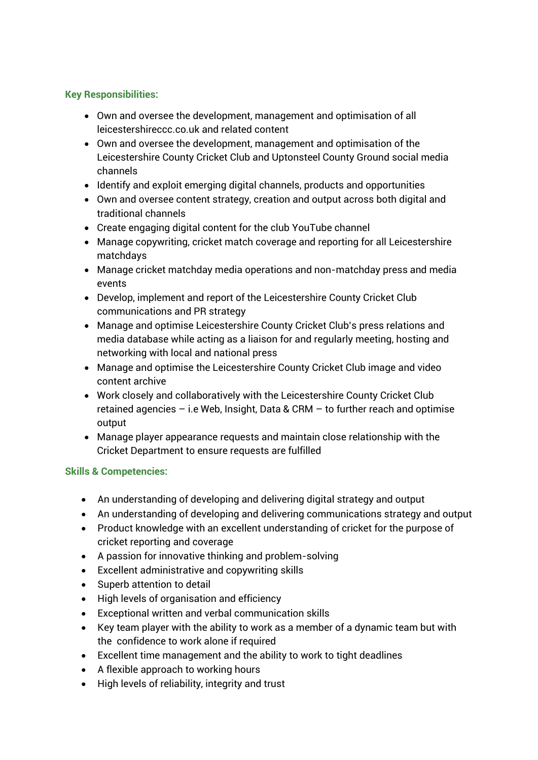# **Key Responsibilities:**

- Own and oversee the development, management and optimisation of all leicestershireccc.co.uk and related content
- Own and oversee the development, management and optimisation of the Leicestershire County Cricket Club and Uptonsteel County Ground social media channels
- Identify and exploit emerging digital channels, products and opportunities
- Own and oversee content strategy, creation and output across both digital and traditional channels
- Create engaging digital content for the club YouTube channel
- Manage copywriting, cricket match coverage and reporting for all Leicestershire matchdays
- Manage cricket matchday media operations and non-matchday press and media events
- Develop, implement and report of the Leicestershire County Cricket Club communications and PR strategy
- Manage and optimise Leicestershire County Cricket Club's press relations and media database while acting as a liaison for and regularly meeting, hosting and networking with local and national press
- Manage and optimise the Leicestershire County Cricket Club image and video content archive
- Work closely and collaboratively with the Leicestershire County Cricket Club retained agencies – i.e Web, Insight, Data & CRM – to further reach and optimise output
- Manage player appearance requests and maintain close relationship with the Cricket Department to ensure requests are fulfilled

# **Skills & Competencies:**

- An understanding of developing and delivering digital strategy and output
- An understanding of developing and delivering communications strategy and output
- Product knowledge with an excellent understanding of cricket for the purpose of cricket reporting and coverage
- A passion for innovative thinking and problem-solving
- Excellent administrative and copywriting skills
- Superb attention to detail
- High levels of organisation and efficiency
- Exceptional written and verbal communication skills
- Key team player with the ability to work as a member of a dynamic team but with the confidence to work alone if required
- Excellent time management and the ability to work to tight deadlines
- A flexible approach to working hours
- High levels of reliability, integrity and trust